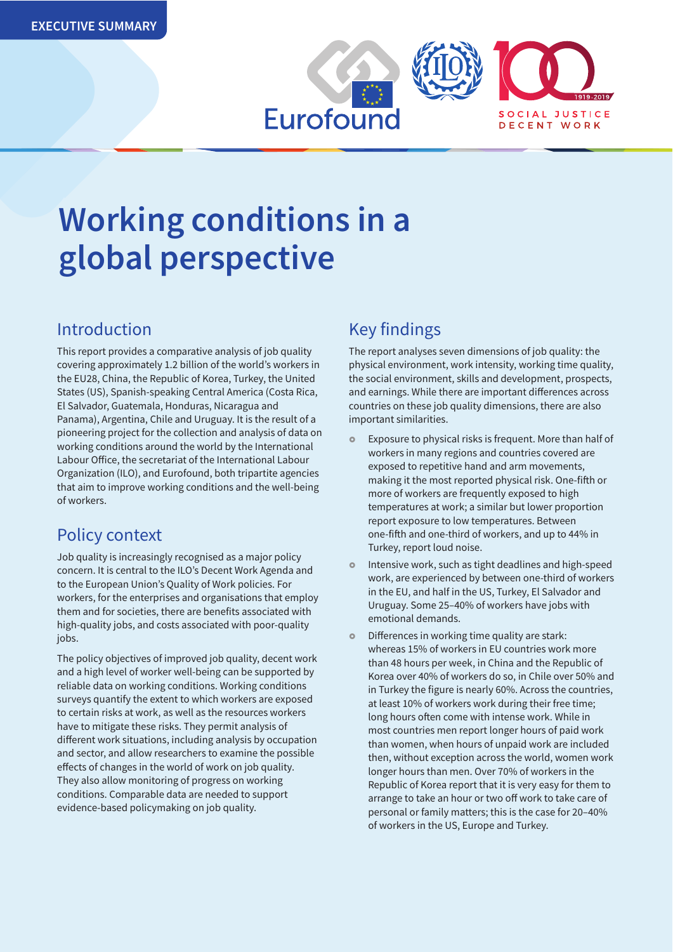

# **Working conditions in a global perspective**

## Introduction

This report provides a comparative analysis of job quality covering approximately 1.2 billion of the world's workers in the EU28, China, the Republic of Korea, Turkey, the United States (US), Spanish-speaking Central America (Costa Rica, El Salvador, Guatemala, Honduras, Nicaragua and Panama), Argentina, Chile and Uruguay. It is the result of a pioneering project for the collection and analysis of data on working conditions around the world by the International Labour Office, the secretariat of the International Labour Organization (ILO), and Eurofound, both tripartite agencies that aim to improve working conditions and the well-being of workers.

# Policy context

Job quality is increasingly recognised as a major policy concern. It is central to the ILO's Decent Work Agenda and to the European Union's Quality of Work policies. For workers, for the enterprises and organisations that employ them and for societies, there are benefits associated with high-quality jobs, and costs associated with poor-quality jobs.

The policy objectives of improved job quality, decent work and a high level of worker well-being can be supported by reliable data on working conditions. Working conditions surveys quantify the extent to which workers are exposed to certain risks at work, as well as the resources workers have to mitigate these risks. They permit analysis of different work situations, including analysis by occupation and sector, and allow researchers to examine the possible effects of changes in the world of work on job quality. They also allow monitoring of progress on working conditions. Comparable data are needed to support evidence-based policymaking on job quality.

# Key findings

The report analyses seven dimensions of job quality: the physical environment, work intensity, working time quality, the social environment, skills and development, prospects, and earnings. While there are important differences across countries on these job quality dimensions, there are also important similarities.

- **Exposure to physical risks is frequent. More than half of** workers in many regions and countries covered are exposed to repetitive hand and arm movements, making it the most reported physical risk. One-fifth or more of workers are frequently exposed to high temperatures at work; a similar but lower proportion report exposure to low temperatures. Between one-fifth and one-third of workers, and up to 44% in Turkey, report loud noise.
- Intensive work, such as tight deadlines and high-speed work, are experienced by between one-third of workers in the EU, and half in the US, Turkey, El Salvador and Uruguay. Some 25–40% of workers have jobs with emotional demands.
- Differences in working time quality are stark: whereas 15% of workers in EU countries work more than 48 hours per week, in China and the Republic of Korea over 40% of workers do so, in Chile over 50% and in Turkey the figure is nearly 60%. Across the countries, at least 10% of workers work during their free time; long hours often come with intense work. While in most countries men report longer hours of paid work than women, when hours of unpaid work are included then, without exception across the world, women work longer hours than men. Over 70% of workers in the Republic of Korea report that it is very easy for them to arrange to take an hour or two off work to take care of personal or family matters; this is the case for 20–40% of workers in the US, Europe and Turkey.